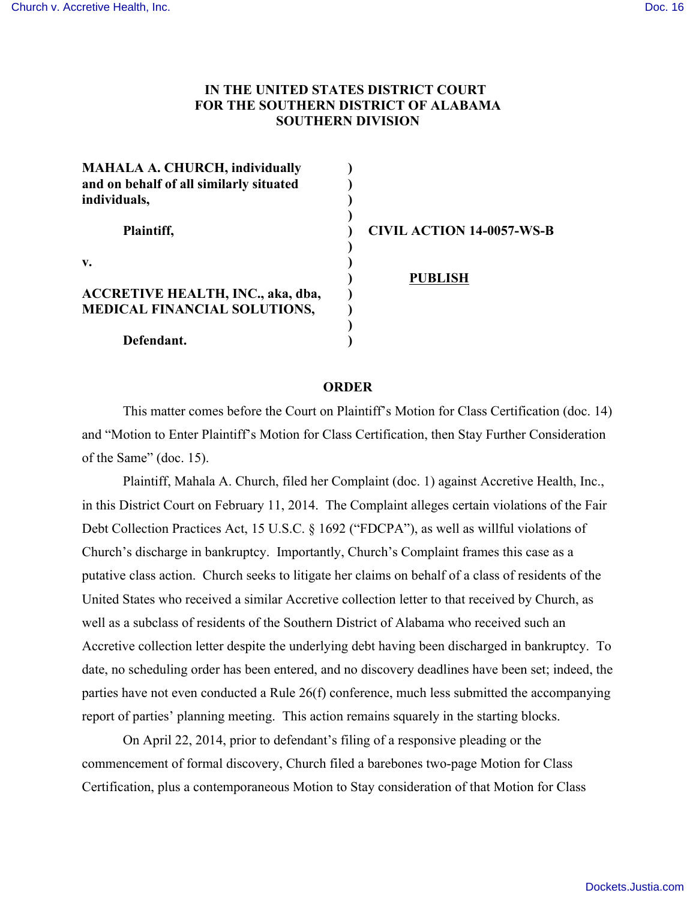## **IN THE UNITED STATES DISTRICT COURT FOR THE SOUTHERN DISTRICT OF ALABAMA SOUTHERN DIVISION**

| <b>MAHALA A. CHURCH, individually</b><br>and on behalf of all similarly situated |                                  |
|----------------------------------------------------------------------------------|----------------------------------|
| individuals,                                                                     |                                  |
| Plaintiff,                                                                       | <b>CIVIL ACTION 14-0057-WS-B</b> |
| $\mathbf{v}$ .                                                                   |                                  |
| <b>ACCRETIVE HEALTH, INC., aka, dba,</b>                                         | <b>PUBLISH</b>                   |
| <b>MEDICAL FINANCIAL SOLUTIONS,</b>                                              |                                  |
|                                                                                  |                                  |
| Defendant.                                                                       |                                  |

## **ORDER**

This matter comes before the Court on Plaintiff's Motion for Class Certification (doc. 14) and "Motion to Enter Plaintiff's Motion for Class Certification, then Stay Further Consideration of the Same" (doc. 15).

Plaintiff, Mahala A. Church, filed her Complaint (doc. 1) against Accretive Health, Inc., in this District Court on February 11, 2014. The Complaint alleges certain violations of the Fair Debt Collection Practices Act, 15 U.S.C. § 1692 ("FDCPA"), as well as willful violations of Church's discharge in bankruptcy. Importantly, Church's Complaint frames this case as a putative class action. Church seeks to litigate her claims on behalf of a class of residents of the United States who received a similar Accretive collection letter to that received by Church, as well as a subclass of residents of the Southern District of Alabama who received such an Accretive collection letter despite the underlying debt having been discharged in bankruptcy. To date, no scheduling order has been entered, and no discovery deadlines have been set; indeed, the parties have not even conducted a Rule 26(f) conference, much less submitted the accompanying report of parties' planning meeting. This action remains squarely in the starting blocks.

On April 22, 2014, prior to defendant's filing of a responsive pleading or the commencement of formal discovery, Church filed a barebones two-page Motion for Class Certification, plus a contemporaneous Motion to Stay consideration of that Motion for Class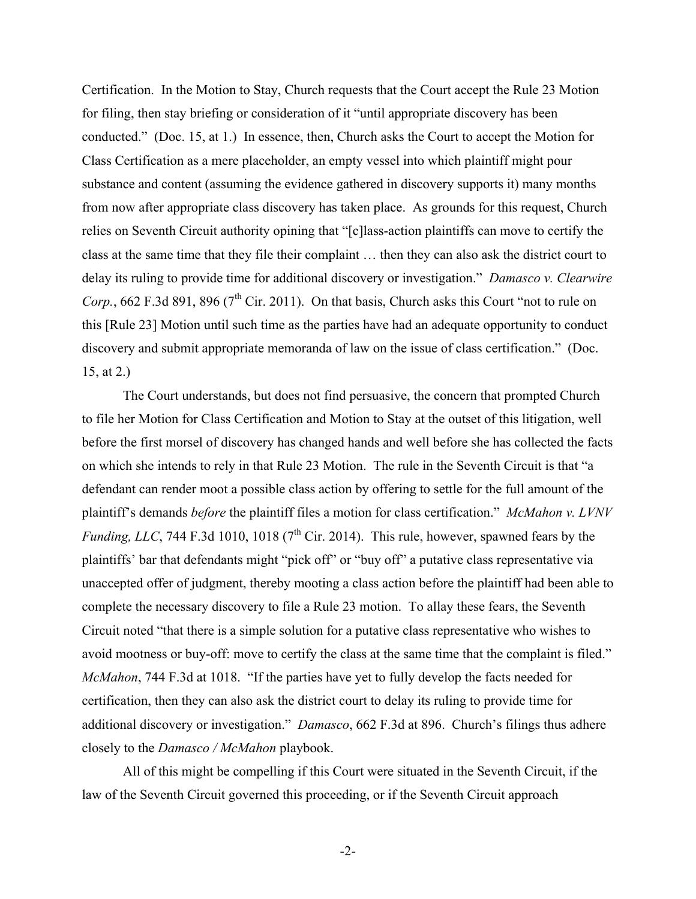Certification. In the Motion to Stay, Church requests that the Court accept the Rule 23 Motion for filing, then stay briefing or consideration of it "until appropriate discovery has been conducted." (Doc. 15, at 1.) In essence, then, Church asks the Court to accept the Motion for Class Certification as a mere placeholder, an empty vessel into which plaintiff might pour substance and content (assuming the evidence gathered in discovery supports it) many months from now after appropriate class discovery has taken place. As grounds for this request, Church relies on Seventh Circuit authority opining that "[c]lass-action plaintiffs can move to certify the class at the same time that they file their complaint … then they can also ask the district court to delay its ruling to provide time for additional discovery or investigation." *Damasco v. Clearwire Corp.*, 662 F.3d 891, 896 ( $7<sup>th</sup>$  Cir. 2011). On that basis, Church asks this Court "not to rule on this [Rule 23] Motion until such time as the parties have had an adequate opportunity to conduct discovery and submit appropriate memoranda of law on the issue of class certification." (Doc. 15, at 2.)

 The Court understands, but does not find persuasive, the concern that prompted Church to file her Motion for Class Certification and Motion to Stay at the outset of this litigation, well before the first morsel of discovery has changed hands and well before she has collected the facts on which she intends to rely in that Rule 23 Motion. The rule in the Seventh Circuit is that "a defendant can render moot a possible class action by offering to settle for the full amount of the plaintiff's demands *before* the plaintiff files a motion for class certification." *McMahon v. LVNV Funding, LLC*, 744 F.3d 1010, 1018 ( $7<sup>th</sup>$  Cir. 2014). This rule, however, spawned fears by the plaintiffs' bar that defendants might "pick off" or "buy off" a putative class representative via unaccepted offer of judgment, thereby mooting a class action before the plaintiff had been able to complete the necessary discovery to file a Rule 23 motion. To allay these fears, the Seventh Circuit noted "that there is a simple solution for a putative class representative who wishes to avoid mootness or buy-off: move to certify the class at the same time that the complaint is filed." *McMahon*, 744 F.3d at 1018. "If the parties have yet to fully develop the facts needed for certification, then they can also ask the district court to delay its ruling to provide time for additional discovery or investigation." *Damasco*, 662 F.3d at 896. Church's filings thus adhere closely to the *Damasco / McMahon* playbook.

 All of this might be compelling if this Court were situated in the Seventh Circuit, if the law of the Seventh Circuit governed this proceeding, or if the Seventh Circuit approach

-2-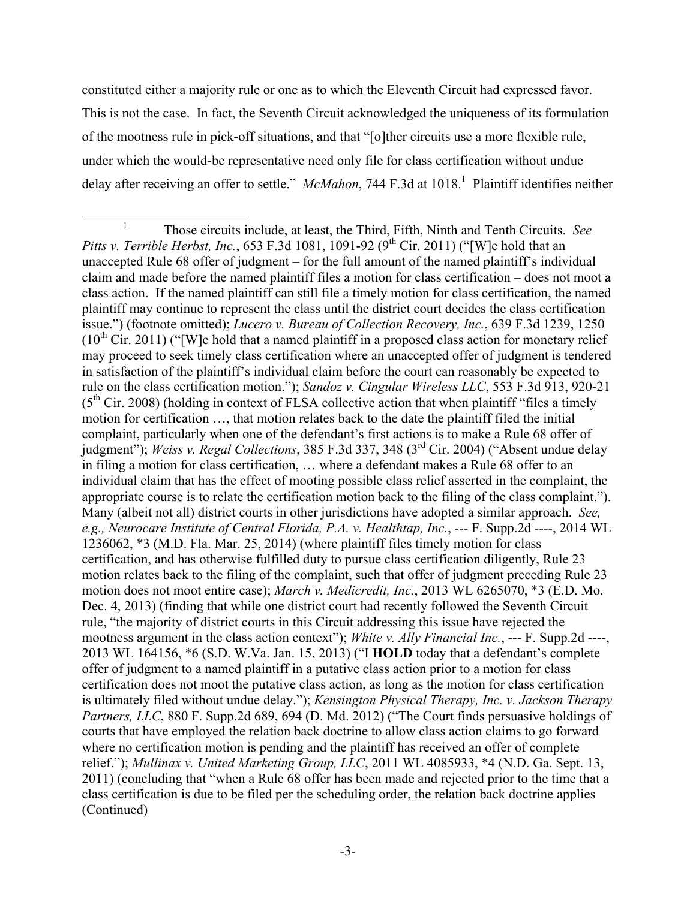constituted either a majority rule or one as to which the Eleventh Circuit had expressed favor. This is not the case. In fact, the Seventh Circuit acknowledged the uniqueness of its formulation of the mootness rule in pick-off situations, and that "[o]ther circuits use a more flexible rule, under which the would-be representative need only file for class certification without undue delay after receiving an offer to settle." *McMahon*, 744 F.3d at 1018.<sup>1</sup> Plaintiff identifies neither

 <sup>1</sup> Those circuits include, at least, the Third, Fifth, Ninth and Tenth Circuits. *See Pitts v. Terrible Herbst, Inc.*, 653 F.3d 1081, 1091-92 (9<sup>th</sup> Cir. 2011) ("[W]e hold that an unaccepted Rule 68 offer of judgment – for the full amount of the named plaintiff's individual claim and made before the named plaintiff files a motion for class certification – does not moot a class action. If the named plaintiff can still file a timely motion for class certification, the named plaintiff may continue to represent the class until the district court decides the class certification issue.") (footnote omitted); *Lucero v. Bureau of Collection Recovery, Inc.*, 639 F.3d 1239, 1250  $(10<sup>th</sup> Cir. 2011)$  ("[W]e hold that a named plaintiff in a proposed class action for monetary relief may proceed to seek timely class certification where an unaccepted offer of judgment is tendered in satisfaction of the plaintiff's individual claim before the court can reasonably be expected to rule on the class certification motion."); *Sandoz v. Cingular Wireless LLC*, 553 F.3d 913, 920-21  $(5<sup>th</sup> Cir. 2008)$  (holding in context of FLSA collective action that when plaintiff "files a timely" motion for certification …, that motion relates back to the date the plaintiff filed the initial complaint, particularly when one of the defendant's first actions is to make a Rule 68 offer of judgment"); *Weiss v. Regal Collections*, 385 F.3d 337, 348 (3rd Cir. 2004) ("Absent undue delay in filing a motion for class certification, … where a defendant makes a Rule 68 offer to an individual claim that has the effect of mooting possible class relief asserted in the complaint, the appropriate course is to relate the certification motion back to the filing of the class complaint."). Many (albeit not all) district courts in other jurisdictions have adopted a similar approach. *See, e.g., Neurocare Institute of Central Florida, P.A. v. Healthtap, Inc.*, --- F. Supp.2d ----, 2014 WL 1236062, \*3 (M.D. Fla. Mar. 25, 2014) (where plaintiff files timely motion for class certification, and has otherwise fulfilled duty to pursue class certification diligently, Rule 23 motion relates back to the filing of the complaint, such that offer of judgment preceding Rule 23 motion does not moot entire case); *March v. Medicredit, Inc.*, 2013 WL 6265070, \*3 (E.D. Mo. Dec. 4, 2013) (finding that while one district court had recently followed the Seventh Circuit rule, "the majority of district courts in this Circuit addressing this issue have rejected the mootness argument in the class action context"); *White v. Ally Financial Inc.*, --- F. Supp.2d ----, 2013 WL 164156, \*6 (S.D. W.Va. Jan. 15, 2013) ("I **HOLD** today that a defendant's complete offer of judgment to a named plaintiff in a putative class action prior to a motion for class certification does not moot the putative class action, as long as the motion for class certification is ultimately filed without undue delay."); *Kensington Physical Therapy, Inc. v. Jackson Therapy Partners, LLC*, 880 F. Supp.2d 689, 694 (D. Md. 2012) ("The Court finds persuasive holdings of courts that have employed the relation back doctrine to allow class action claims to go forward where no certification motion is pending and the plaintiff has received an offer of complete relief."); *Mullinax v. United Marketing Group, LLC*, 2011 WL 4085933, \*4 (N.D. Ga. Sept. 13, 2011) (concluding that "when a Rule 68 offer has been made and rejected prior to the time that a class certification is due to be filed per the scheduling order, the relation back doctrine applies (Continued)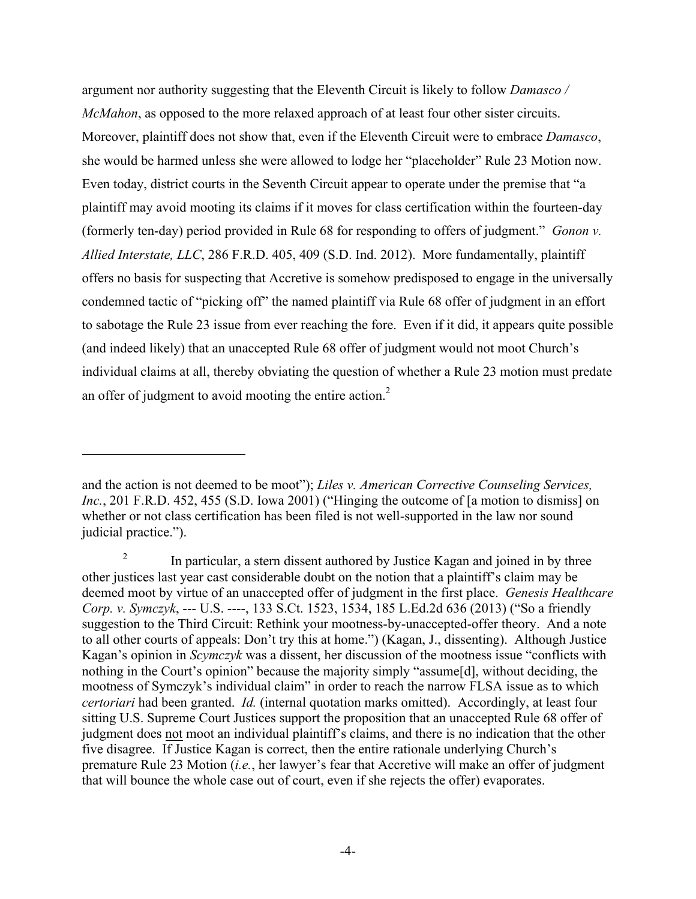argument nor authority suggesting that the Eleventh Circuit is likely to follow *Damasco / McMahon*, as opposed to the more relaxed approach of at least four other sister circuits. Moreover, plaintiff does not show that, even if the Eleventh Circuit were to embrace *Damasco*, she would be harmed unless she were allowed to lodge her "placeholder" Rule 23 Motion now. Even today, district courts in the Seventh Circuit appear to operate under the premise that "a plaintiff may avoid mooting its claims if it moves for class certification within the fourteen-day (formerly ten-day) period provided in Rule 68 for responding to offers of judgment." *Gonon v. Allied Interstate, LLC*, 286 F.R.D. 405, 409 (S.D. Ind. 2012). More fundamentally, plaintiff offers no basis for suspecting that Accretive is somehow predisposed to engage in the universally condemned tactic of "picking off" the named plaintiff via Rule 68 offer of judgment in an effort to sabotage the Rule 23 issue from ever reaching the fore. Even if it did, it appears quite possible (and indeed likely) that an unaccepted Rule 68 offer of judgment would not moot Church's individual claims at all, thereby obviating the question of whether a Rule 23 motion must predate an offer of judgment to avoid mooting the entire action.<sup>2</sup>

 $\overline{a}$ 

and the action is not deemed to be moot"); *Liles v. American Corrective Counseling Services, Inc.*, 201 F.R.D. 452, 455 (S.D. Iowa 2001) ("Hinging the outcome of [a motion to dismiss] on whether or not class certification has been filed is not well-supported in the law nor sound judicial practice.").

<sup>&</sup>lt;sup>2</sup> In particular, a stern dissent authored by Justice Kagan and joined in by three other justices last year cast considerable doubt on the notion that a plaintiff's claim may be deemed moot by virtue of an unaccepted offer of judgment in the first place. *Genesis Healthcare Corp. v. Symczyk*, --- U.S. ----, 133 S.Ct. 1523, 1534, 185 L.Ed.2d 636 (2013) ("So a friendly suggestion to the Third Circuit: Rethink your mootness-by-unaccepted-offer theory. And a note to all other courts of appeals: Don't try this at home.") (Kagan, J., dissenting). Although Justice Kagan's opinion in *Scymczyk* was a dissent, her discussion of the mootness issue "conflicts with nothing in the Court's opinion" because the majority simply "assume[d], without deciding, the mootness of Symczyk's individual claim" in order to reach the narrow FLSA issue as to which *certoriari* had been granted. *Id.* (internal quotation marks omitted). Accordingly, at least four sitting U.S. Supreme Court Justices support the proposition that an unaccepted Rule 68 offer of judgment does not moot an individual plaintiff's claims, and there is no indication that the other five disagree. If Justice Kagan is correct, then the entire rationale underlying Church's premature Rule 23 Motion (*i.e.*, her lawyer's fear that Accretive will make an offer of judgment that will bounce the whole case out of court, even if she rejects the offer) evaporates.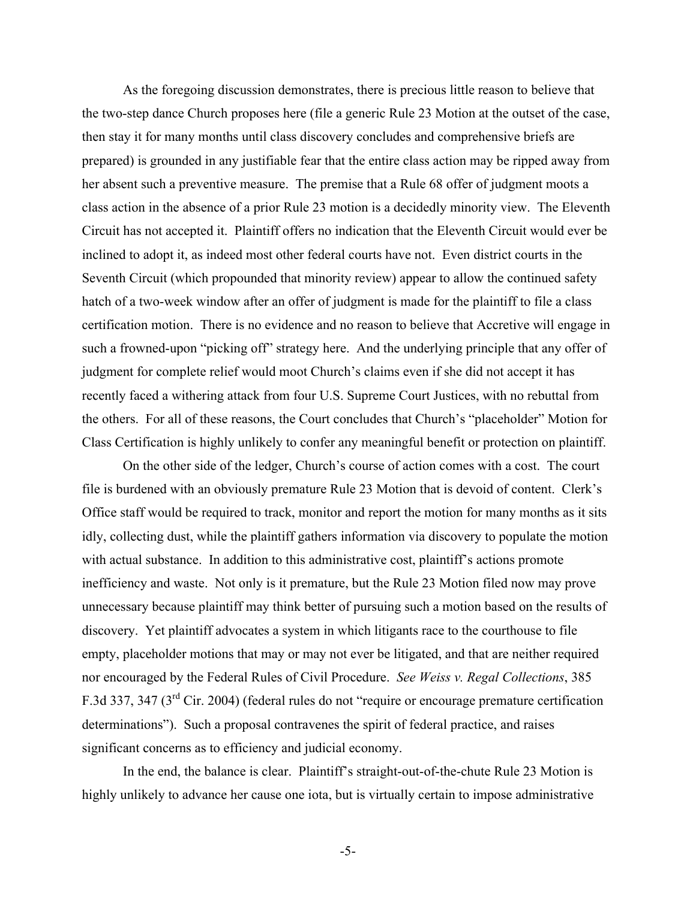As the foregoing discussion demonstrates, there is precious little reason to believe that the two-step dance Church proposes here (file a generic Rule 23 Motion at the outset of the case, then stay it for many months until class discovery concludes and comprehensive briefs are prepared) is grounded in any justifiable fear that the entire class action may be ripped away from her absent such a preventive measure. The premise that a Rule 68 offer of judgment moots a class action in the absence of a prior Rule 23 motion is a decidedly minority view. The Eleventh Circuit has not accepted it. Plaintiff offers no indication that the Eleventh Circuit would ever be inclined to adopt it, as indeed most other federal courts have not. Even district courts in the Seventh Circuit (which propounded that minority review) appear to allow the continued safety hatch of a two-week window after an offer of judgment is made for the plaintiff to file a class certification motion. There is no evidence and no reason to believe that Accretive will engage in such a frowned-upon "picking off" strategy here. And the underlying principle that any offer of judgment for complete relief would moot Church's claims even if she did not accept it has recently faced a withering attack from four U.S. Supreme Court Justices, with no rebuttal from the others. For all of these reasons, the Court concludes that Church's "placeholder" Motion for Class Certification is highly unlikely to confer any meaningful benefit or protection on plaintiff.

On the other side of the ledger, Church's course of action comes with a cost. The court file is burdened with an obviously premature Rule 23 Motion that is devoid of content. Clerk's Office staff would be required to track, monitor and report the motion for many months as it sits idly, collecting dust, while the plaintiff gathers information via discovery to populate the motion with actual substance. In addition to this administrative cost, plaintiff's actions promote inefficiency and waste. Not only is it premature, but the Rule 23 Motion filed now may prove unnecessary because plaintiff may think better of pursuing such a motion based on the results of discovery. Yet plaintiff advocates a system in which litigants race to the courthouse to file empty, placeholder motions that may or may not ever be litigated, and that are neither required nor encouraged by the Federal Rules of Civil Procedure. *See Weiss v. Regal Collections*, 385 F.3d 337, 347 (3rd Cir. 2004) (federal rules do not "require or encourage premature certification determinations"). Such a proposal contravenes the spirit of federal practice, and raises significant concerns as to efficiency and judicial economy.

In the end, the balance is clear. Plaintiff's straight-out-of-the-chute Rule 23 Motion is highly unlikely to advance her cause one iota, but is virtually certain to impose administrative

-5-